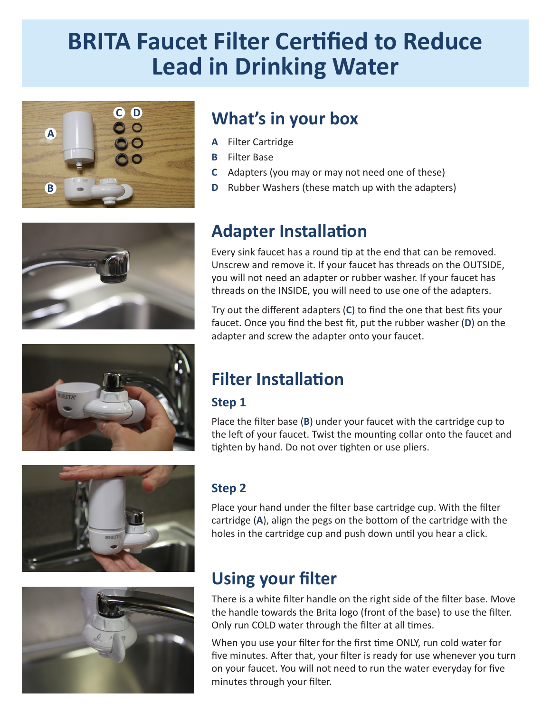# **BRITA Faucet Filter Certified to Reduce Lead in Drinking Water**







### **What's in your box**

- **A** Filter Cartridge
- **B** Filter Base
- **C** Adapters (you may or may not need one of these)
- **D** Rubber Washers (these match up with the adapters)

### **Adapter Installation**

Every sink faucet has a round tip at the end that can be removed. Unscrew and remove it. If your faucet has threads on the OUTSIDE, you will not need an adapter or rubber washer. If your faucet has threads on the INSIDE, you will need to use one of the adapters.

Try out the different adapters (**C**) to find the one that best fits your faucet. Once you find the best fit, put the rubber washer (**D**) on the adapter and screw the adapter onto your faucet.

#### **Filter Installation**

#### **Step 1**

Place the filter base (**B**) under your faucet with the cartridge cup to the left of your faucet. Twist the mounting collar onto the faucet and tighten by hand. Do not over tighten or use pliers.





#### **Step 2**

Place your hand under the filter base cartridge cup. With the filter cartridge (**A**), align the pegs on the bottom of the cartridge with the holes in the cartridge cup and push down until you hear a click.

### **Using your filter**

There is a white filter handle on the right side of the filter base. Move the handle towards the Brita logo (front of the base) to use the filter. Only run COLD water through the filter at all times.

When you use your filter for the first time ONLY, run cold water for five minutes. After that, your filter is ready for use whenever you turn on your faucet. You will not need to run the water everyday for five minutes through your filter.